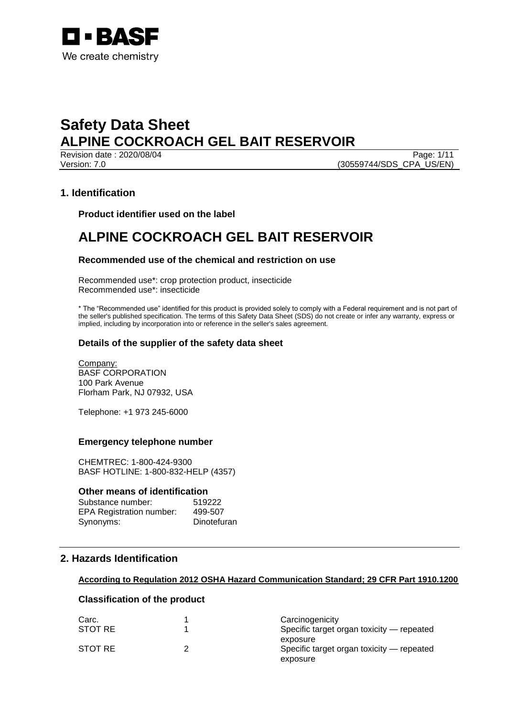

Revision date : 2020/08/04 Page: 1/11 Version: 7.0 (30559744/SDS\_CPA\_US/EN)

## **1. Identification**

**Product identifier used on the label**

## **ALPINE COCKROACH GEL BAIT RESERVOIR**

## **Recommended use of the chemical and restriction on use**

Recommended use\*: crop protection product, insecticide Recommended use\*: insecticide

\* The "Recommended use" identified for this product is provided solely to comply with a Federal requirement and is not part of the seller's published specification. The terms of this Safety Data Sheet (SDS) do not create or infer any warranty, express or implied, including by incorporation into or reference in the seller's sales agreement.

## **Details of the supplier of the safety data sheet**

Company: BASF CORPORATION 100 Park Avenue Florham Park, NJ 07932, USA

Telephone: +1 973 245-6000

### **Emergency telephone number**

CHEMTREC: 1-800-424-9300 BASF HOTLINE: 1-800-832-HELP (4357)

### **Other means of identification**

| Substance number:               | 519222      |
|---------------------------------|-------------|
| <b>EPA Registration number:</b> | 499-507     |
| Synonyms:                       | Dinotefuran |

## **2. Hazards Identification**

### **According to Regulation 2012 OSHA Hazard Communication Standard; 29 CFR Part 1910.1200**

## **Classification of the product**

| Carc.   | Carcinogenicity                           |
|---------|-------------------------------------------|
| STOT RE | Specific target organ toxicity — repeated |
|         | exposure                                  |
| STOT RE | Specific target organ toxicity — repeated |
|         | exposure                                  |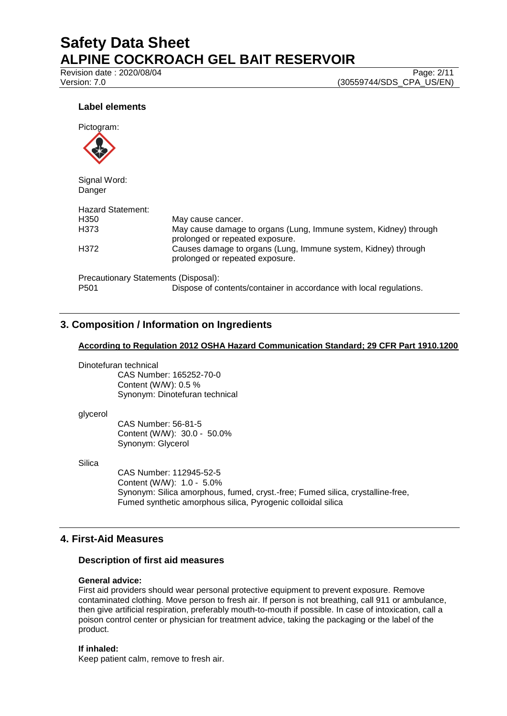Revision date : 2020/08/04 Page: 2/11<br>Version: 7.0 (30559744/SDS CPA US/EN)

(30559744/SDS\_CPA\_US/EN)

## **Label elements**



Signal Word: Danger

| <b>Hazard Statement:</b>             |                                                                                                     |
|--------------------------------------|-----------------------------------------------------------------------------------------------------|
| H <sub>350</sub>                     | May cause cancer.                                                                                   |
| H373                                 | May cause damage to organs (Lung, Immune system, Kidney) through<br>prolonged or repeated exposure. |
| H372                                 | Causes damage to organs (Lung, Immune system, Kidney) through<br>prolonged or repeated exposure.    |
| Precautionary Statements (Disposal): |                                                                                                     |
| P <sub>501</sub>                     | Dispose of contents/container in accordance with local regulations.                                 |

## **3. Composition / Information on Ingredients**

## **According to Regulation 2012 OSHA Hazard Communication Standard; 29 CFR Part 1910.1200**

Dinotefuran technical

CAS Number: 165252-70-0 Content (W/W): 0.5 % Synonym: Dinotefuran technical

#### glycerol

CAS Number: 56-81-5 Content (W/W): 30.0 - 50.0% Synonym: Glycerol

**Silica** 

CAS Number: 112945-52-5 Content (W/W): 1.0 - 5.0% Synonym: Silica amorphous, fumed, cryst.-free; Fumed silica, crystalline-free, Fumed synthetic amorphous silica, Pyrogenic colloidal silica

## **4. First-Aid Measures**

### **Description of first aid measures**

### **General advice:**

First aid providers should wear personal protective equipment to prevent exposure. Remove contaminated clothing. Move person to fresh air. If person is not breathing, call 911 or ambulance, then give artificial respiration, preferably mouth-to-mouth if possible. In case of intoxication, call a poison control center or physician for treatment advice, taking the packaging or the label of the product.

### **If inhaled:**

Keep patient calm, remove to fresh air.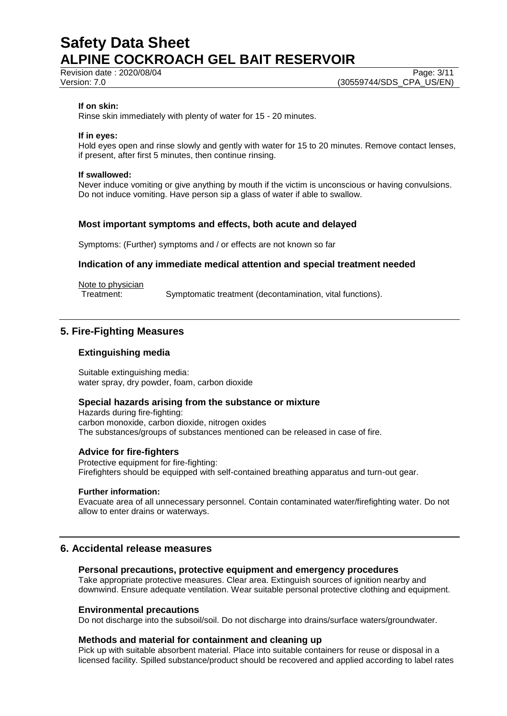Revision date : 2020/08/04 Page: 3/11<br>Version: 7.0 (30559744/SDS CPA US/EN)

### **If on skin:**

Rinse skin immediately with plenty of water for 15 - 20 minutes.

#### **If in eyes:**

Hold eyes open and rinse slowly and gently with water for 15 to 20 minutes. Remove contact lenses, if present, after first 5 minutes, then continue rinsing.

#### **If swallowed:**

Never induce vomiting or give anything by mouth if the victim is unconscious or having convulsions. Do not induce vomiting. Have person sip a glass of water if able to swallow.

### **Most important symptoms and effects, both acute and delayed**

Symptoms: (Further) symptoms and / or effects are not known so far

### **Indication of any immediate medical attention and special treatment needed**

Note to physician<br>Treatment:

Symptomatic treatment (decontamination, vital functions).

## **5. Fire-Fighting Measures**

## **Extinguishing media**

Suitable extinguishing media: water spray, dry powder, foam, carbon dioxide

### **Special hazards arising from the substance or mixture**

Hazards during fire-fighting: carbon monoxide, carbon dioxide, nitrogen oxides The substances/groups of substances mentioned can be released in case of fire.

### **Advice for fire-fighters**

Protective equipment for fire-fighting: Firefighters should be equipped with self-contained breathing apparatus and turn-out gear.

#### **Further information:**

Evacuate area of all unnecessary personnel. Contain contaminated water/firefighting water. Do not allow to enter drains or waterways.

## **6. Accidental release measures**

### **Personal precautions, protective equipment and emergency procedures**

Take appropriate protective measures. Clear area. Extinguish sources of ignition nearby and downwind. Ensure adequate ventilation. Wear suitable personal protective clothing and equipment.

#### **Environmental precautions**

Do not discharge into the subsoil/soil. Do not discharge into drains/surface waters/groundwater.

### **Methods and material for containment and cleaning up**

Pick up with suitable absorbent material. Place into suitable containers for reuse or disposal in a licensed facility. Spilled substance/product should be recovered and applied according to label rates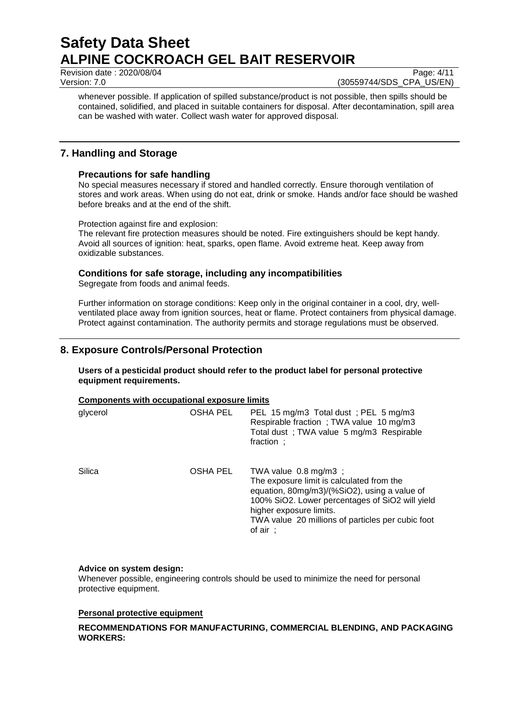Revision date : 2020/08/04 Page: 4/11<br>Version: 7.0 (30559744/SDS CPA US/EN)

(30559744/SDS\_CPA\_US/EN)

whenever possible. If application of spilled substance/product is not possible, then spills should be contained, solidified, and placed in suitable containers for disposal. After decontamination, spill area can be washed with water. Collect wash water for approved disposal.

## **7. Handling and Storage**

## **Precautions for safe handling**

No special measures necessary if stored and handled correctly. Ensure thorough ventilation of stores and work areas. When using do not eat, drink or smoke. Hands and/or face should be washed before breaks and at the end of the shift.

Protection against fire and explosion:

The relevant fire protection measures should be noted. Fire extinguishers should be kept handy. Avoid all sources of ignition: heat, sparks, open flame. Avoid extreme heat. Keep away from oxidizable substances.

## **Conditions for safe storage, including any incompatibilities**

Segregate from foods and animal feeds.

Further information on storage conditions: Keep only in the original container in a cool, dry, wellventilated place away from ignition sources, heat or flame. Protect containers from physical damage. Protect against contamination. The authority permits and storage regulations must be observed.

## **8. Exposure Controls/Personal Protection**

**Users of a pesticidal product should refer to the product label for personal protective equipment requirements.**

### **Components with occupational exposure limits**

| glycerol | OSHA PEL | PEL 15 mg/m3 Total dust; PEL 5 mg/m3<br>Respirable fraction; TWA value 10 mg/m3<br>Total dust; TWA value 5 mg/m3 Respirable<br>fraction ;                                                                                                                                     |
|----------|----------|-------------------------------------------------------------------------------------------------------------------------------------------------------------------------------------------------------------------------------------------------------------------------------|
| Silica   | OSHA PEL | TWA value $0.8 \text{ mg/m3}$ ;<br>The exposure limit is calculated from the<br>equation, 80mg/m3)/(%SiO2), using a value of<br>100% SiO2. Lower percentages of SiO2 will yield<br>higher exposure limits.<br>TWA value 20 millions of particles per cubic foot<br>of $air$ ; |

## **Advice on system design:**

Whenever possible, engineering controls should be used to minimize the need for personal protective equipment.

## **Personal protective equipment**

## **RECOMMENDATIONS FOR MANUFACTURING, COMMERCIAL BLENDING, AND PACKAGING WORKERS:**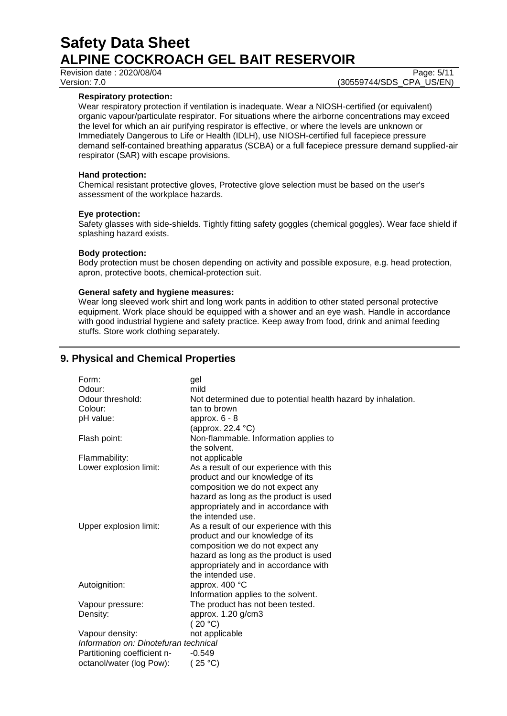### **Respiratory protection:**

Wear respiratory protection if ventilation is inadequate. Wear a NIOSH-certified (or equivalent) organic vapour/particulate respirator. For situations where the airborne concentrations may exceed the level for which an air purifying respirator is effective, or where the levels are unknown or Immediately Dangerous to Life or Health (IDLH), use NIOSH-certified full facepiece pressure demand self-contained breathing apparatus (SCBA) or a full facepiece pressure demand supplied-air respirator (SAR) with escape provisions.

## **Hand protection:**

Chemical resistant protective gloves, Protective glove selection must be based on the user's assessment of the workplace hazards.

## **Eye protection:**

Safety glasses with side-shields. Tightly fitting safety goggles (chemical goggles). Wear face shield if splashing hazard exists.

## **Body protection:**

Body protection must be chosen depending on activity and possible exposure, e.g. head protection, apron, protective boots, chemical-protection suit.

### **General safety and hygiene measures:**

Wear long sleeved work shirt and long work pants in addition to other stated personal protective equipment. Work place should be equipped with a shower and an eye wash. Handle in accordance with good industrial hygiene and safety practice. Keep away from food, drink and animal feeding stuffs. Store work clothing separately.

## **9. Physical and Chemical Properties**

| Form:                                 | gel                                                          |
|---------------------------------------|--------------------------------------------------------------|
| Odour:                                | mild                                                         |
| Odour threshold:                      | Not determined due to potential health hazard by inhalation. |
| Colour:                               | tan to brown                                                 |
| pH value:                             | approx. $6 - 8$                                              |
|                                       | (approx. 22.4 °C)                                            |
| Flash point:                          | Non-flammable. Information applies to                        |
|                                       | the solvent.                                                 |
| Flammability:                         | not applicable                                               |
| Lower explosion limit:                | As a result of our experience with this                      |
|                                       | product and our knowledge of its                             |
|                                       | composition we do not expect any                             |
|                                       | hazard as long as the product is used                        |
|                                       | appropriately and in accordance with                         |
|                                       | the intended use.                                            |
| Upper explosion limit:                | As a result of our experience with this                      |
|                                       | product and our knowledge of its                             |
|                                       | composition we do not expect any                             |
|                                       | hazard as long as the product is used                        |
|                                       | appropriately and in accordance with                         |
|                                       | the intended use.                                            |
| Autoignition:                         | approx. 400 °C                                               |
|                                       | Information applies to the solvent.                          |
| Vapour pressure:                      | The product has not been tested.                             |
| Density:                              | approx. 1.20 g/cm3                                           |
|                                       | (20 °C)                                                      |
| Vapour density:                       | not applicable                                               |
| Information on: Dinotefuran technical |                                                              |
| Partitioning coefficient n-           | $-0.549$                                                     |
| octanol/water (log Pow):              | (25 °C)                                                      |
|                                       |                                                              |

Revision date : 2020/08/04 Page: 5/11<br>Version: 7.0 (30559744/SDS CPA US/EN) (30559744/SDS\_CPA\_US/EN)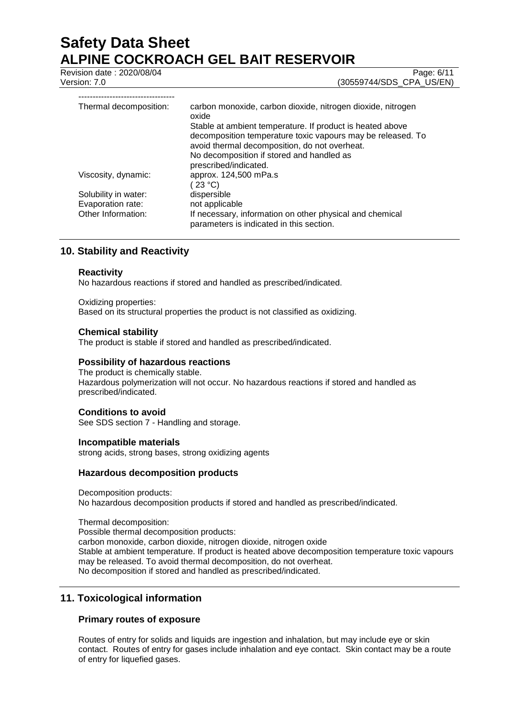Revision date : 2020/08/04 Page: 6/11<br>Version: 7.0 (30559744/SDS CPA US/EN) (30559744/SDS\_CPA\_US/EN)

| Thermal decomposition: | carbon monoxide, carbon dioxide, nitrogen dioxide, nitrogen<br>oxide                                                                                                                                                   |
|------------------------|------------------------------------------------------------------------------------------------------------------------------------------------------------------------------------------------------------------------|
|                        | Stable at ambient temperature. If product is heated above<br>decomposition temperature toxic vapours may be released. To<br>avoid thermal decomposition, do not overheat.<br>No decomposition if stored and handled as |
|                        | prescribed/indicated.                                                                                                                                                                                                  |
| Viscosity, dynamic:    | approx. 124,500 mPa.s<br>$23^{\circ}$ C)                                                                                                                                                                               |
| Solubility in water:   | dispersible                                                                                                                                                                                                            |
| Evaporation rate:      | not applicable                                                                                                                                                                                                         |
| Other Information:     | If necessary, information on other physical and chemical<br>parameters is indicated in this section.                                                                                                                   |

## **10. Stability and Reactivity**

### **Reactivity**

No hazardous reactions if stored and handled as prescribed/indicated.

Oxidizing properties: Based on its structural properties the product is not classified as oxidizing.

## **Chemical stability**

The product is stable if stored and handled as prescribed/indicated.

## **Possibility of hazardous reactions**

The product is chemically stable. Hazardous polymerization will not occur. No hazardous reactions if stored and handled as prescribed/indicated.

### **Conditions to avoid**

See SDS section 7 - Handling and storage.

### **Incompatible materials**

strong acids, strong bases, strong oxidizing agents

## **Hazardous decomposition products**

Decomposition products: No hazardous decomposition products if stored and handled as prescribed/indicated.

Thermal decomposition: Possible thermal decomposition products: carbon monoxide, carbon dioxide, nitrogen dioxide, nitrogen oxide Stable at ambient temperature. If product is heated above decomposition temperature toxic vapours may be released. To avoid thermal decomposition, do not overheat. No decomposition if stored and handled as prescribed/indicated.

## **11. Toxicological information**

## **Primary routes of exposure**

Routes of entry for solids and liquids are ingestion and inhalation, but may include eye or skin contact. Routes of entry for gases include inhalation and eye contact. Skin contact may be a route of entry for liquefied gases.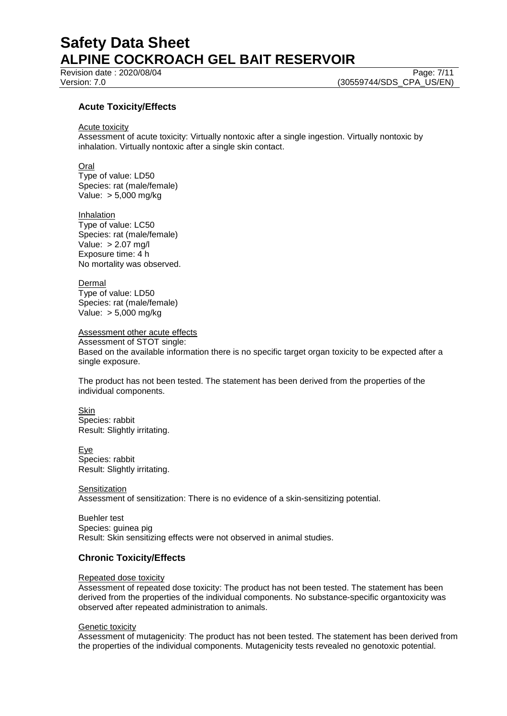Revision date : 2020/08/04 Page: 7/11<br>Version: 7.0 (30559744/SDS CPA US/EN)

(30559744/SDS\_CPA\_US/EN)

## **Acute Toxicity/Effects**

Acute toxicity

Assessment of acute toxicity: Virtually nontoxic after a single ingestion. Virtually nontoxic by inhalation. Virtually nontoxic after a single skin contact.

**Oral** 

Type of value: LD50 Species: rat (male/female) Value: > 5,000 mg/kg

Inhalation Type of value: LC50 Species: rat (male/female) Value: > 2.07 mg/l Exposure time: 4 h No mortality was observed.

Dermal Type of value: LD50 Species: rat (male/female) Value: > 5,000 mg/kg

Assessment other acute effects

Assessment of STOT single: Based on the available information there is no specific target organ toxicity to be expected after a single exposure.

The product has not been tested. The statement has been derived from the properties of the individual components.

Skin Species: rabbit Result: Slightly irritating.

Eye Species: rabbit Result: Slightly irritating.

**Sensitization** Assessment of sensitization: There is no evidence of a skin-sensitizing potential.

Buehler test Species: guinea pig Result: Skin sensitizing effects were not observed in animal studies.

## **Chronic Toxicity/Effects**

Repeated dose toxicity

Assessment of repeated dose toxicity: The product has not been tested. The statement has been derived from the properties of the individual components. No substance-specific organtoxicity was observed after repeated administration to animals.

### **Genetic toxicity**

Assessment of mutagenicity: The product has not been tested. The statement has been derived from the properties of the individual components. Mutagenicity tests revealed no genotoxic potential.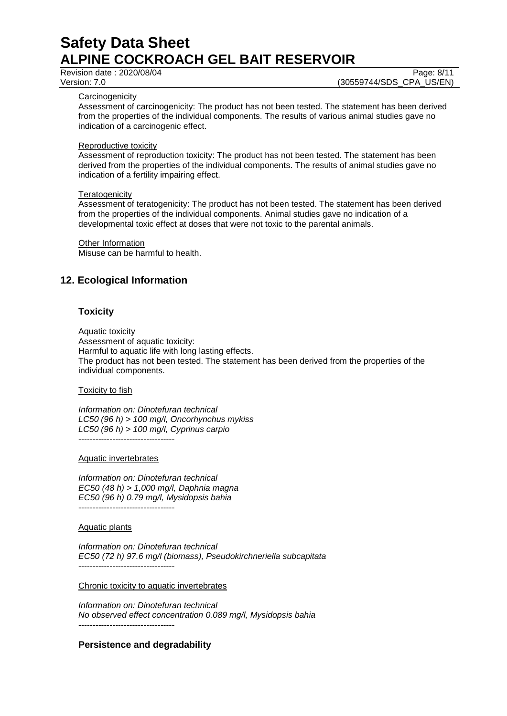Revision date : 2020/08/04 Page: 8/11<br>Version: 7.0 (30559744/SDS CPA US/EN) (30559744/SDS\_CPA\_US/EN)

### **Carcinogenicity**

Assessment of carcinogenicity: The product has not been tested. The statement has been derived from the properties of the individual components. The results of various animal studies gave no indication of a carcinogenic effect.

### Reproductive toxicity

Assessment of reproduction toxicity: The product has not been tested. The statement has been derived from the properties of the individual components. The results of animal studies gave no indication of a fertility impairing effect.

## **Teratogenicity**

Assessment of teratogenicity: The product has not been tested. The statement has been derived from the properties of the individual components. Animal studies gave no indication of a developmental toxic effect at doses that were not toxic to the parental animals.

Other Information Misuse can be harmful to health.

## **12. Ecological Information**

## **Toxicity**

Aquatic toxicity Assessment of aquatic toxicity: Harmful to aquatic life with long lasting effects. The product has not been tested. The statement has been derived from the properties of the individual components.

Toxicity to fish

*Information on: Dinotefuran technical LC50 (96 h) > 100 mg/l, Oncorhynchus mykiss LC50 (96 h) > 100 mg/l, Cyprinus carpio* ----------------------------------

Aquatic invertebrates

*Information on: Dinotefuran technical EC50 (48 h) > 1,000 mg/l, Daphnia magna EC50 (96 h) 0.79 mg/l, Mysidopsis bahia* ----------------------------------

### Aquatic plants

*Information on: Dinotefuran technical EC50 (72 h) 97.6 mg/l (biomass), Pseudokirchneriella subcapitata* ----------------------------------

Chronic toxicity to aquatic invertebrates

*Information on: Dinotefuran technical No observed effect concentration 0.089 mg/l, Mysidopsis bahia* ----------------------------------

## **Persistence and degradability**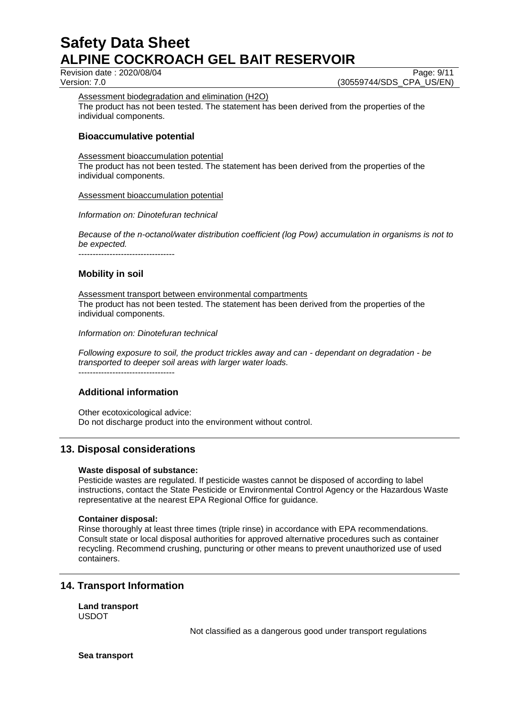Revision date : 2020/08/04 Page: 9/11<br>Version: 7.0 (30559744/SDS CPA US/EN) (30559744/SDS CPA US/EN)

Assessment biodegradation and elimination (H2O)

The product has not been tested. The statement has been derived from the properties of the individual components.

## **Bioaccumulative potential**

Assessment bioaccumulation potential

The product has not been tested. The statement has been derived from the properties of the individual components.

### Assessment bioaccumulation potential

*Information on: Dinotefuran technical*

*Because of the n-octanol/water distribution coefficient (log Pow) accumulation in organisms is not to be expected.*

----------------------------------

## **Mobility in soil**

Assessment transport between environmental compartments The product has not been tested. The statement has been derived from the properties of the individual components.

*Information on: Dinotefuran technical*

*Following exposure to soil, the product trickles away and can - dependant on degradation - be transported to deeper soil areas with larger water loads.*

----------------------------------

## **Additional information**

Other ecotoxicological advice: Do not discharge product into the environment without control.

## **13. Disposal considerations**

### **Waste disposal of substance:**

Pesticide wastes are regulated. If pesticide wastes cannot be disposed of according to label instructions, contact the State Pesticide or Environmental Control Agency or the Hazardous Waste representative at the nearest EPA Regional Office for guidance.

### **Container disposal:**

Rinse thoroughly at least three times (triple rinse) in accordance with EPA recommendations. Consult state or local disposal authorities for approved alternative procedures such as container recycling. Recommend crushing, puncturing or other means to prevent unauthorized use of used containers.

## **14. Transport Information**

**Land transport** USDOT

Not classified as a dangerous good under transport regulations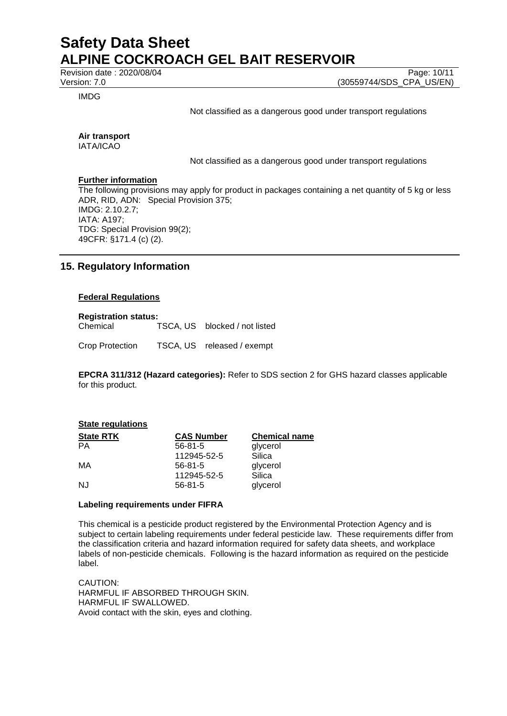Revision date : 2020/08/04 Page: 10/11<br>Version: 7.0 (30559744/SDS CPA US/EN)

IMDG

Not classified as a dangerous good under transport regulations

(30559744/SDS\_CPA\_US/EN)

#### **Air transport** IATA/ICAO

Not classified as a dangerous good under transport regulations

## **Further information**

The following provisions may apply for product in packages containing a net quantity of 5 kg or less ADR, RID, ADN: Special Provision 375; IMDG: 2.10.2.7; IATA: A197; TDG: Special Provision 99(2); 49CFR: §171.4 (c) (2).

## **15. Regulatory Information**

## **Federal Regulations**

**Registration status:** Chemical TSCA, US blocked / not listed

Crop Protection TSCA, US released / exempt

**EPCRA 311/312 (Hazard categories):** Refer to SDS section 2 for GHS hazard classes applicable for this product.

## **State regulations**

| <b>State RTK</b> | <b>CAS Number</b> | <b>Chemical name</b> |
|------------------|-------------------|----------------------|
| РA               | $56 - 81 - 5$     | glycerol             |
|                  | 112945-52-5       | Silica               |
| МA               | $56 - 81 - 5$     | glycerol             |
|                  | 112945-52-5       | Silica               |
| NJ               | $56 - 81 - 5$     | glycerol             |

## **Labeling requirements under FIFRA**

This chemical is a pesticide product registered by the Environmental Protection Agency and is subject to certain labeling requirements under federal pesticide law. These requirements differ from the classification criteria and hazard information required for safety data sheets, and workplace labels of non-pesticide chemicals. Following is the hazard information as required on the pesticide label.

CAUTION: HARMFUL IF ABSORBED THROUGH SKIN. HARMFUL IF SWALLOWED. Avoid contact with the skin, eyes and clothing.